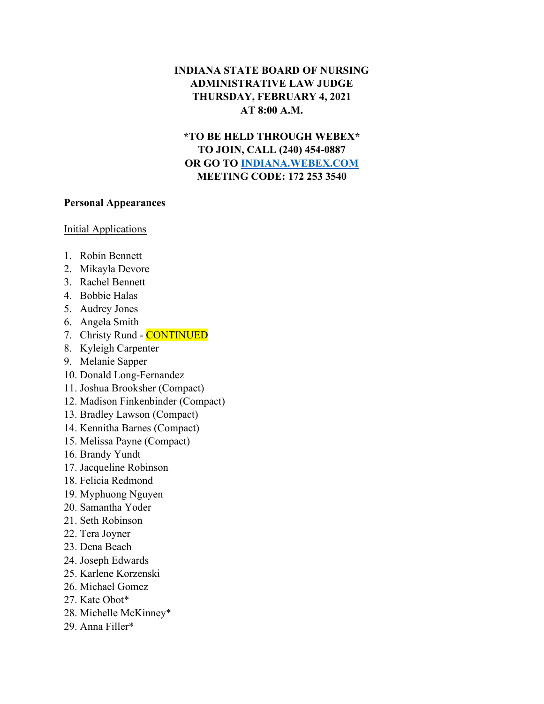## **INDIANA STATE BOARD OF NURSING ADMINISTRATIVE LAW JUDGE THURSDAY, FEBRUARY 4, 2021 AT 8:00 A.M.**

**\*TO BE HELD THROUGH WEBEX\* TO JOIN, CALL (240) 454-0887 OR GO TO [INDIANA.WEBEX.COM](https://indiana.webex.com/webappng/sites/indiana/dashboard?siteurl=indiana) MEETING CODE: 172 253 3540**

## **Personal Appearances**

## Initial Applications

- 1. Robin Bennett
- 2. Mikayla Devore
- 3. Rachel Bennett
- 4. Bobbie Halas
- 5. Audrey Jones
- 6. Angela Smith
- 7. Christy Rund CONTINUED
- 8. Kyleigh Carpenter
- 9. Melanie Sapper
- 10. Donald Long-Fernandez
- 11. Joshua Brooksher (Compact)
- 12. Madison Finkenbinder (Compact)
- 13. Bradley Lawson (Compact)
- 14. Kennitha Barnes (Compact)
- 15. Melissa Payne (Compact)
- 16. Brandy Yundt
- 17. Jacqueline Robinson
- 18. Felicia Redmond
- 19. Myphuong Nguyen
- 20. Samantha Yoder
- 21. Seth Robinson
- 22. Tera Joyner
- 23. Dena Beach
- 24. Joseph Edwards
- 25. Karlene Korzenski
- 26. Michael Gomez
- 27. Kate Obot\*
- 28. Michelle McKinney\*
- 29. Anna Filler\*